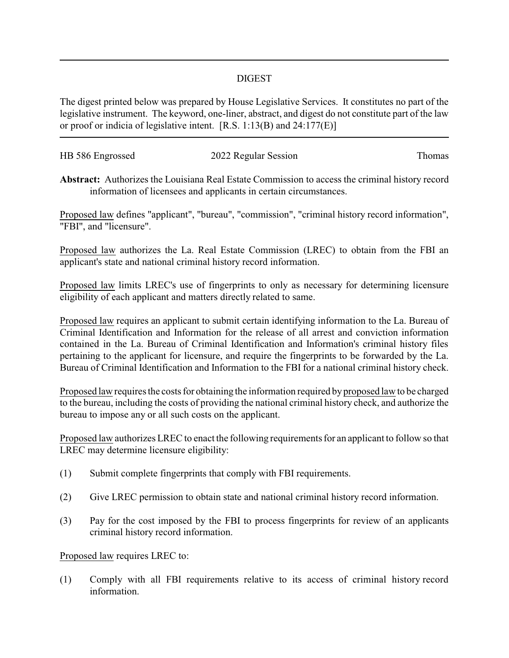## DIGEST

The digest printed below was prepared by House Legislative Services. It constitutes no part of the legislative instrument. The keyword, one-liner, abstract, and digest do not constitute part of the law or proof or indicia of legislative intent. [R.S. 1:13(B) and 24:177(E)]

| HB 586 Engrossed | 2022 Regular Session | Thomas |
|------------------|----------------------|--------|
|                  |                      |        |

**Abstract:** Authorizes the Louisiana Real Estate Commission to access the criminal history record information of licensees and applicants in certain circumstances.

Proposed law defines "applicant", "bureau", "commission", "criminal history record information", "FBI", and "licensure".

Proposed law authorizes the La. Real Estate Commission (LREC) to obtain from the FBI an applicant's state and national criminal history record information.

Proposed law limits LREC's use of fingerprints to only as necessary for determining licensure eligibility of each applicant and matters directly related to same.

Proposed law requires an applicant to submit certain identifying information to the La. Bureau of Criminal Identification and Information for the release of all arrest and conviction information contained in the La. Bureau of Criminal Identification and Information's criminal history files pertaining to the applicant for licensure, and require the fingerprints to be forwarded by the La. Bureau of Criminal Identification and Information to the FBI for a national criminal history check.

Proposed law requires the costs for obtaining the information required by proposed law to be charged to the bureau, including the costs of providing the national criminal history check, and authorize the bureau to impose any or all such costs on the applicant.

Proposed law authorizes LREC to enact the following requirements for an applicant to follow so that LREC may determine licensure eligibility:

- (1) Submit complete fingerprints that comply with FBI requirements.
- (2) Give LREC permission to obtain state and national criminal history record information.
- (3) Pay for the cost imposed by the FBI to process fingerprints for review of an applicants criminal history record information.

Proposed law requires LREC to:

(1) Comply with all FBI requirements relative to its access of criminal history record information.